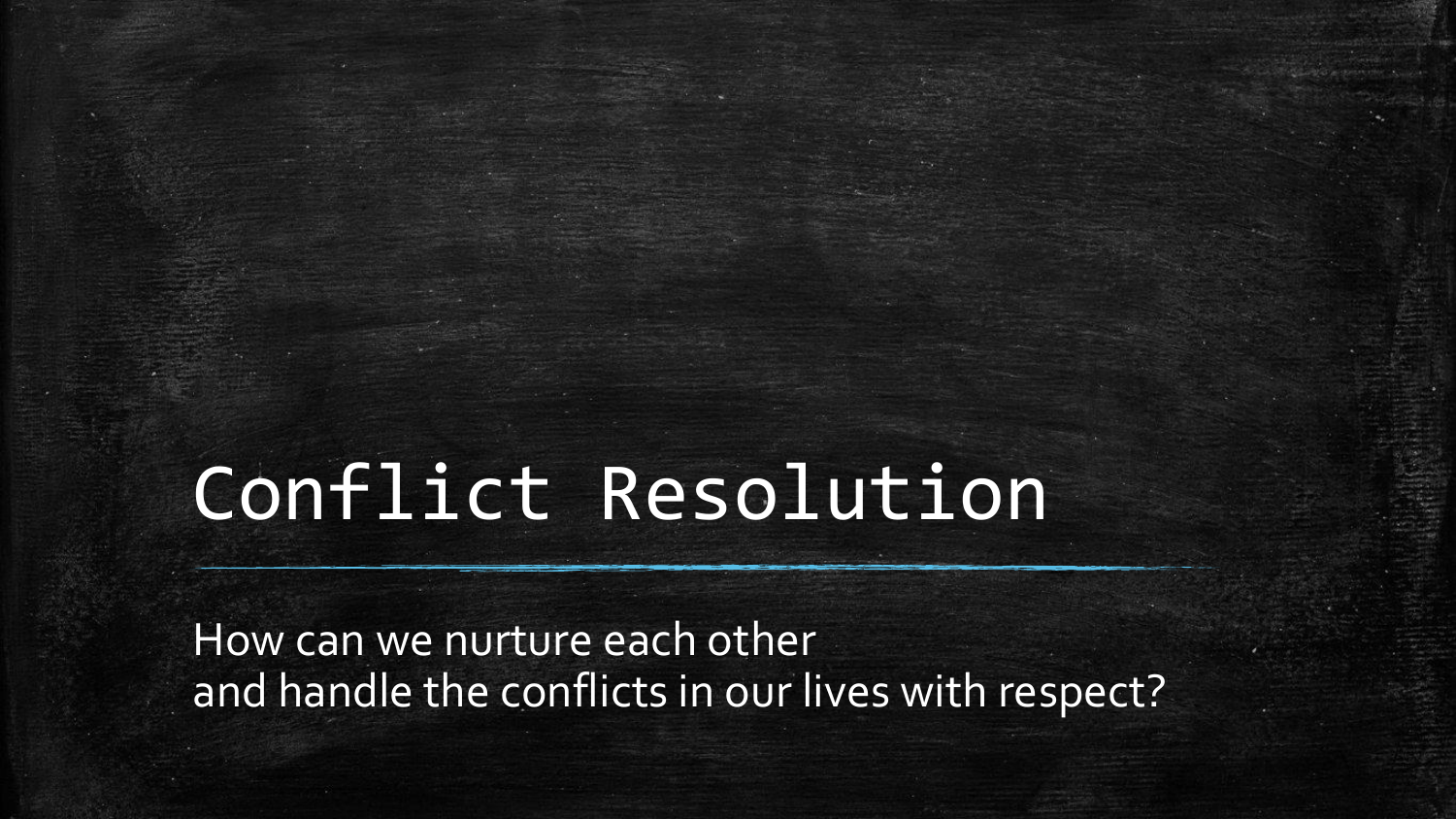# Conflict Resolution

How can we nurture each other and handle the conflicts in our lives with respect?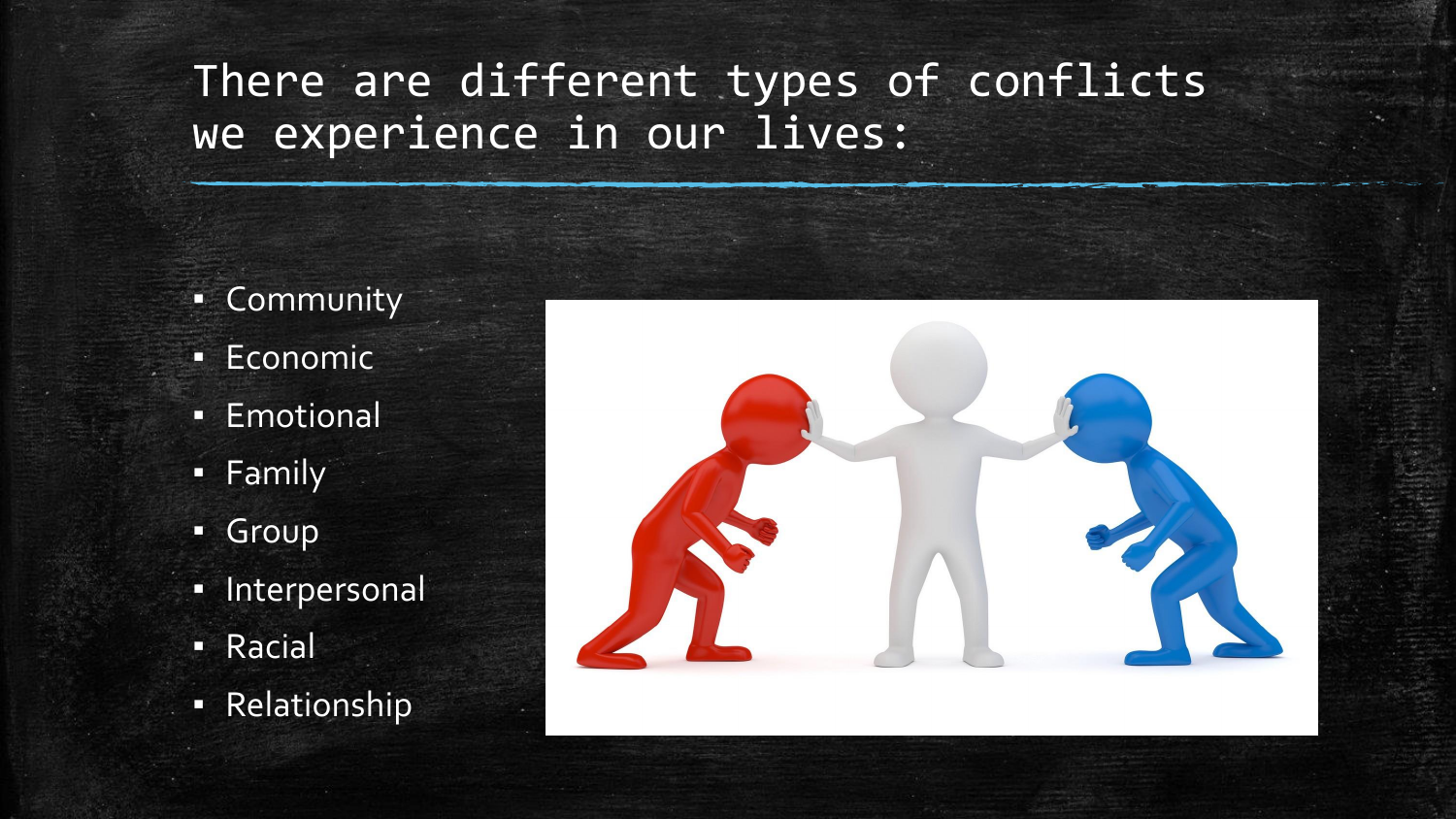#### There are different types of conflicts we experience in our lives:

- Community
- Economic
- Emotional
- **Family**
- Group
- Interpersonal
- Racial
- Relationship

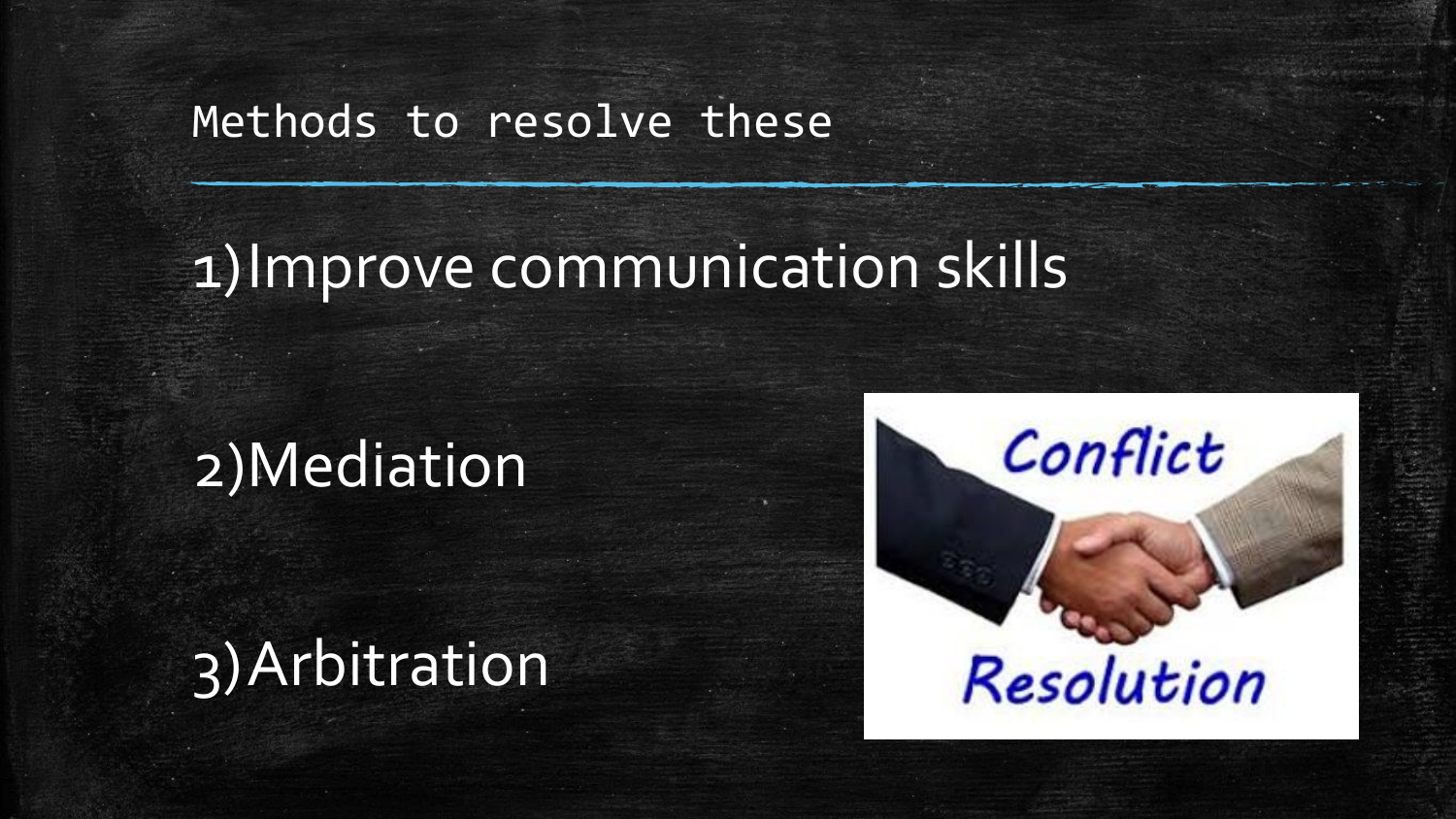#### Methods to resolve these

# 1)Improve communication skills

## 2)Mediation

## 3)Arbitration

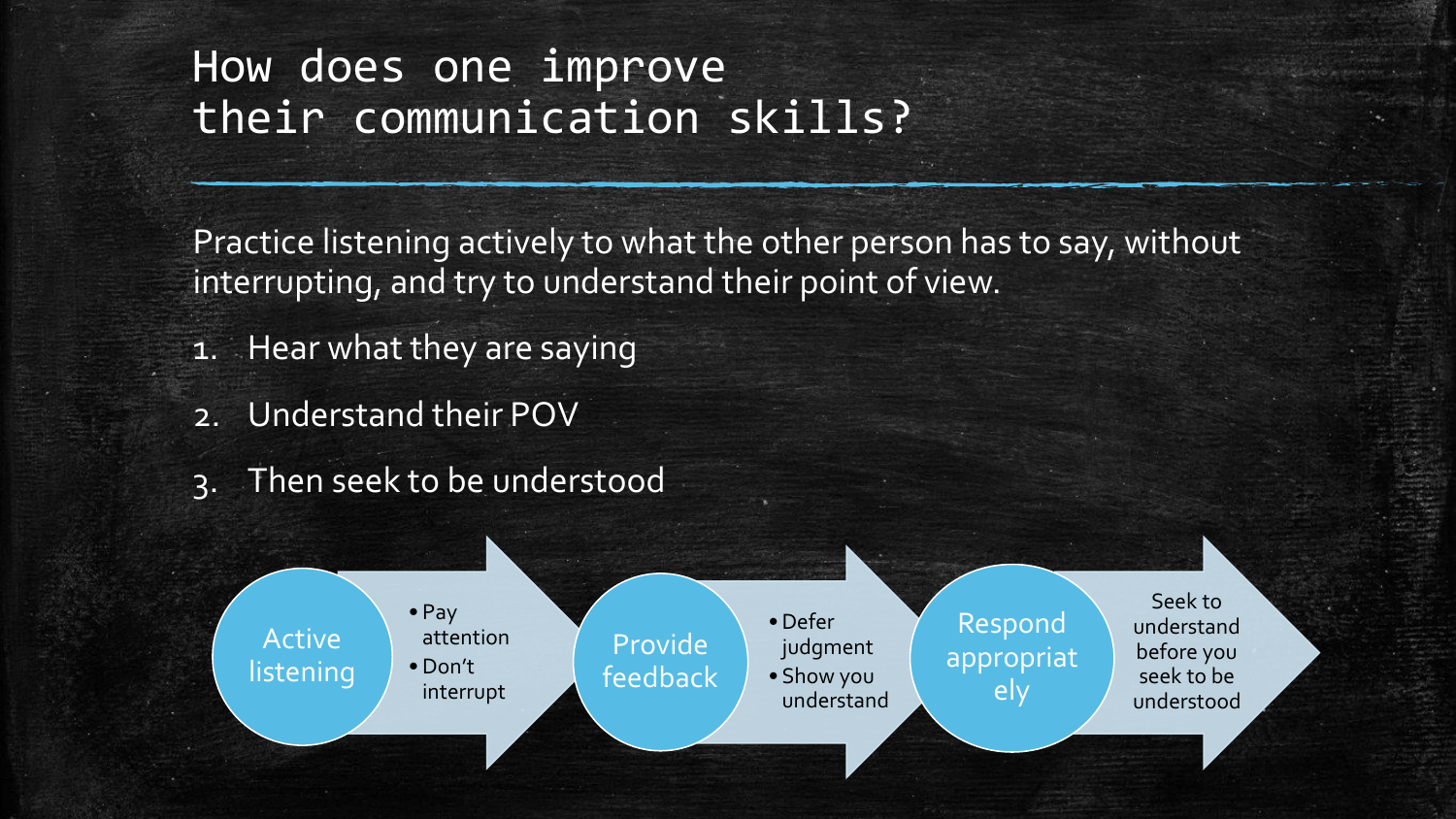#### How does one improve their communication skills?

Practice listening actively to what the other person has to say, without interrupting, and try to understand their point of view.

- 1. Hear what they are saying
- 2. Understand their POV
- 3. Then seek to be understood

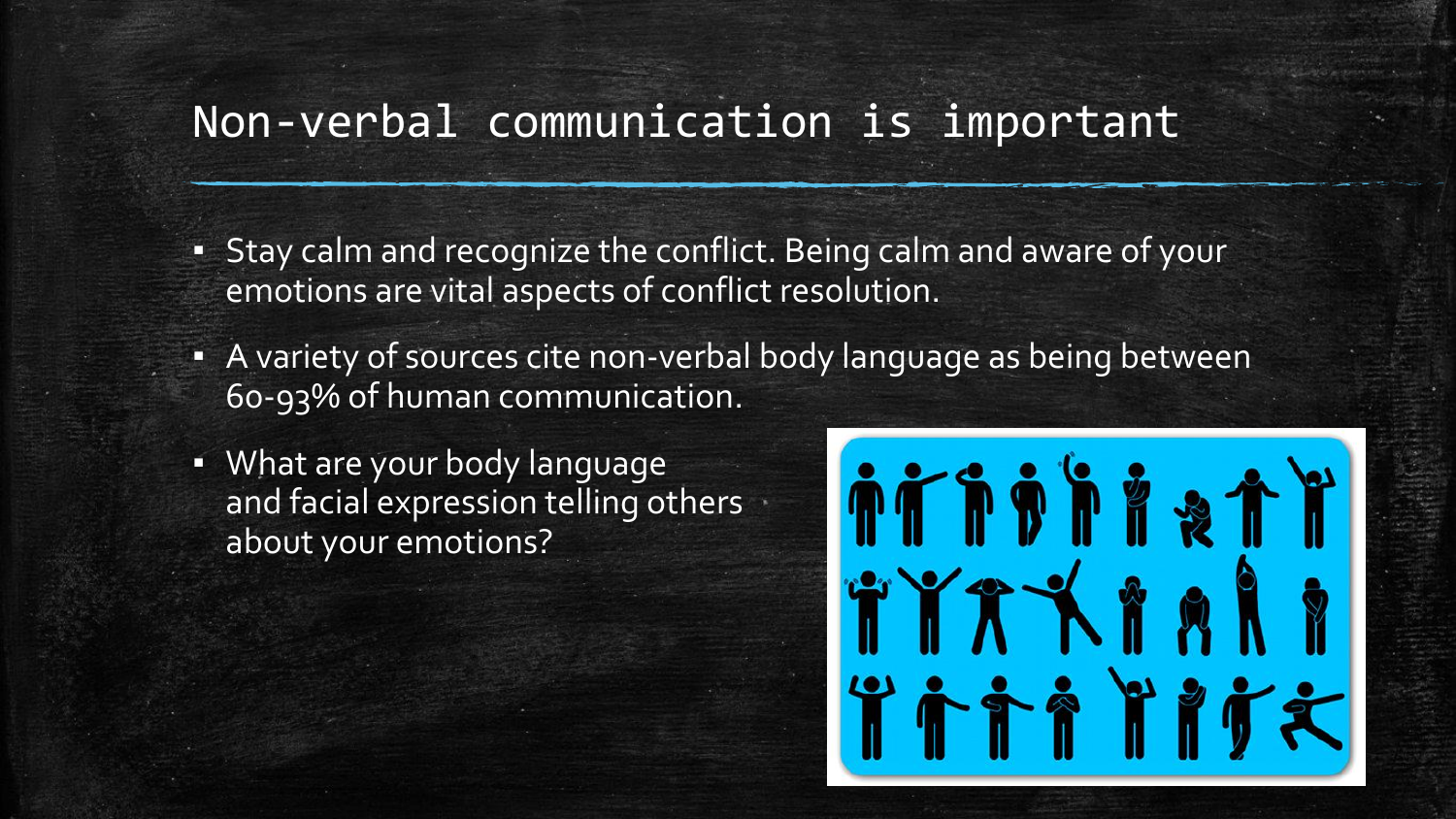#### Non-verbal communication is important

- **Example 1** Stay calm and recognize the conflict. Being calm and aware of your emotions are vital aspects of conflict resolution.
- **A** variety of sources cite non-verbal body language as being between 60-93% of human communication.
- What are your body language and facial expression telling others about your emotions?

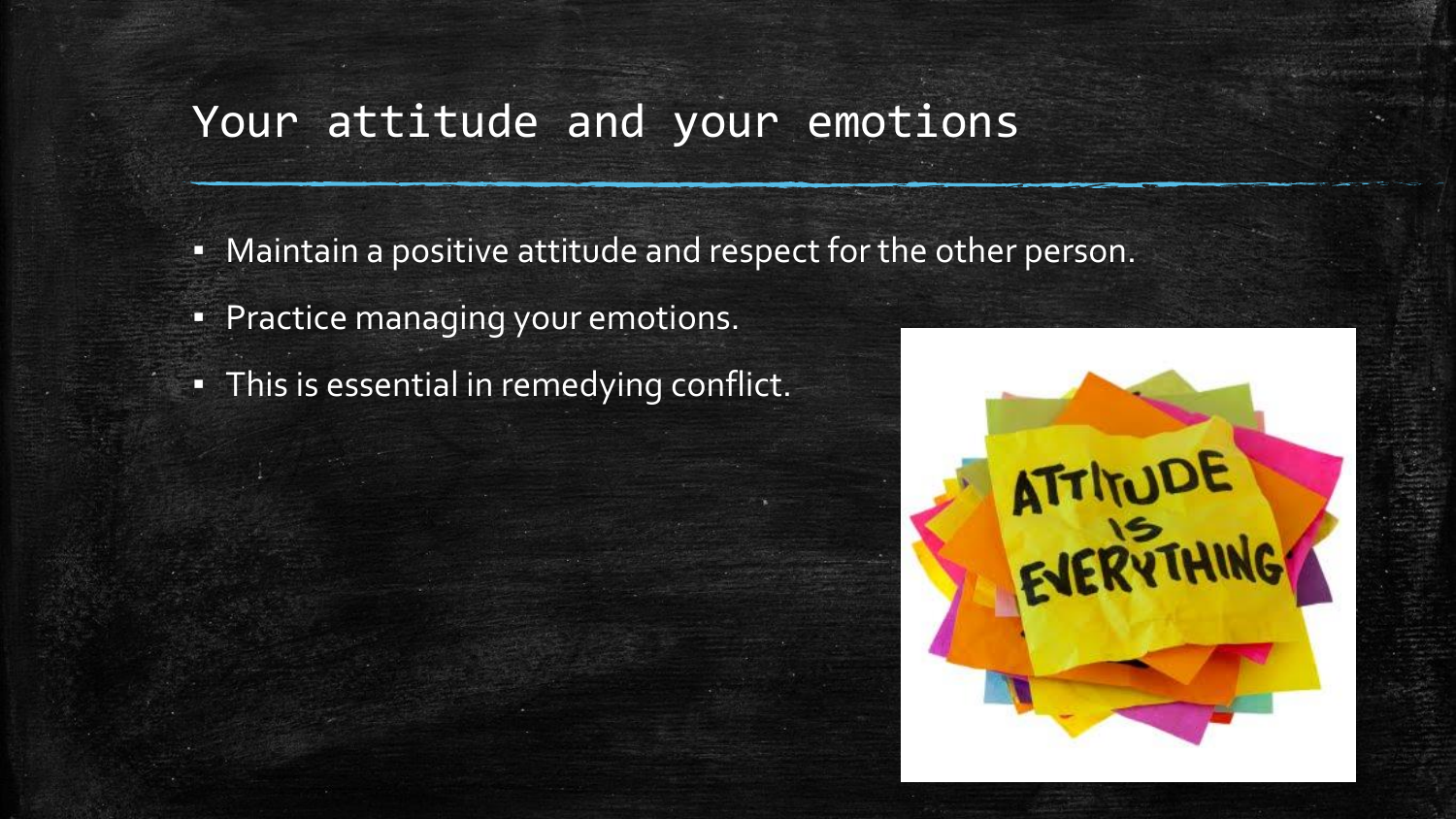#### Your attitude and your emotions

- **EXA** Maintain a positive attitude and respect for the other person.
- **Practice managing your emotions.**
- **·** This is essential in remedying conflict.

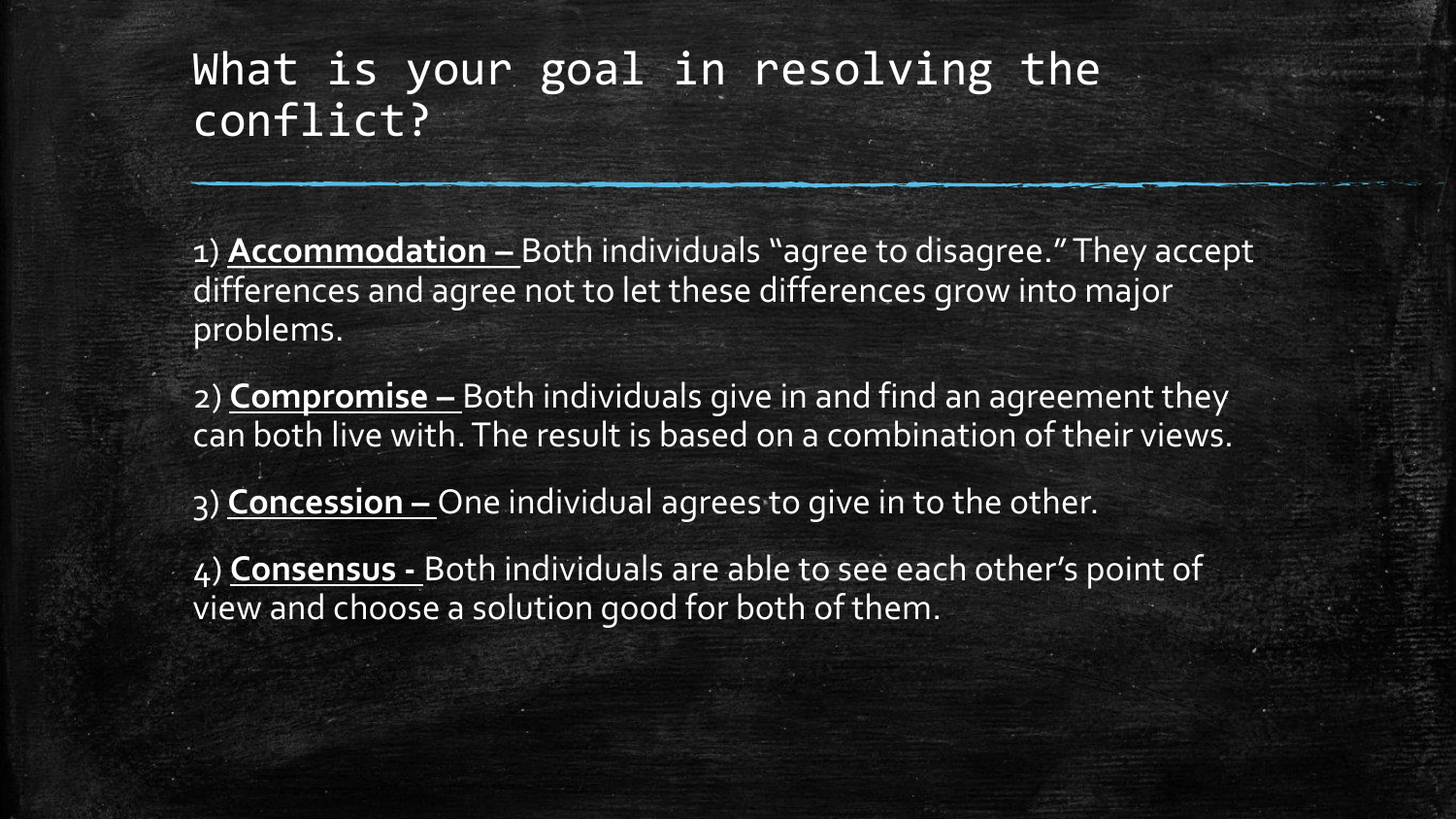#### What is your goal in resolving the conflict?

1) **Accommodation –** Both individuals "agree to disagree." They accept differences and agree not to let these differences grow into major problems.

2) **Compromise –** Both individuals give in and find an agreement they can both live with. The result is based on a combination of their views.

3) **Concession –** One individual agrees to give in to the other.

4) **Consensus -** Both individuals are able to see each other's point of view and choose a solution good for both of them.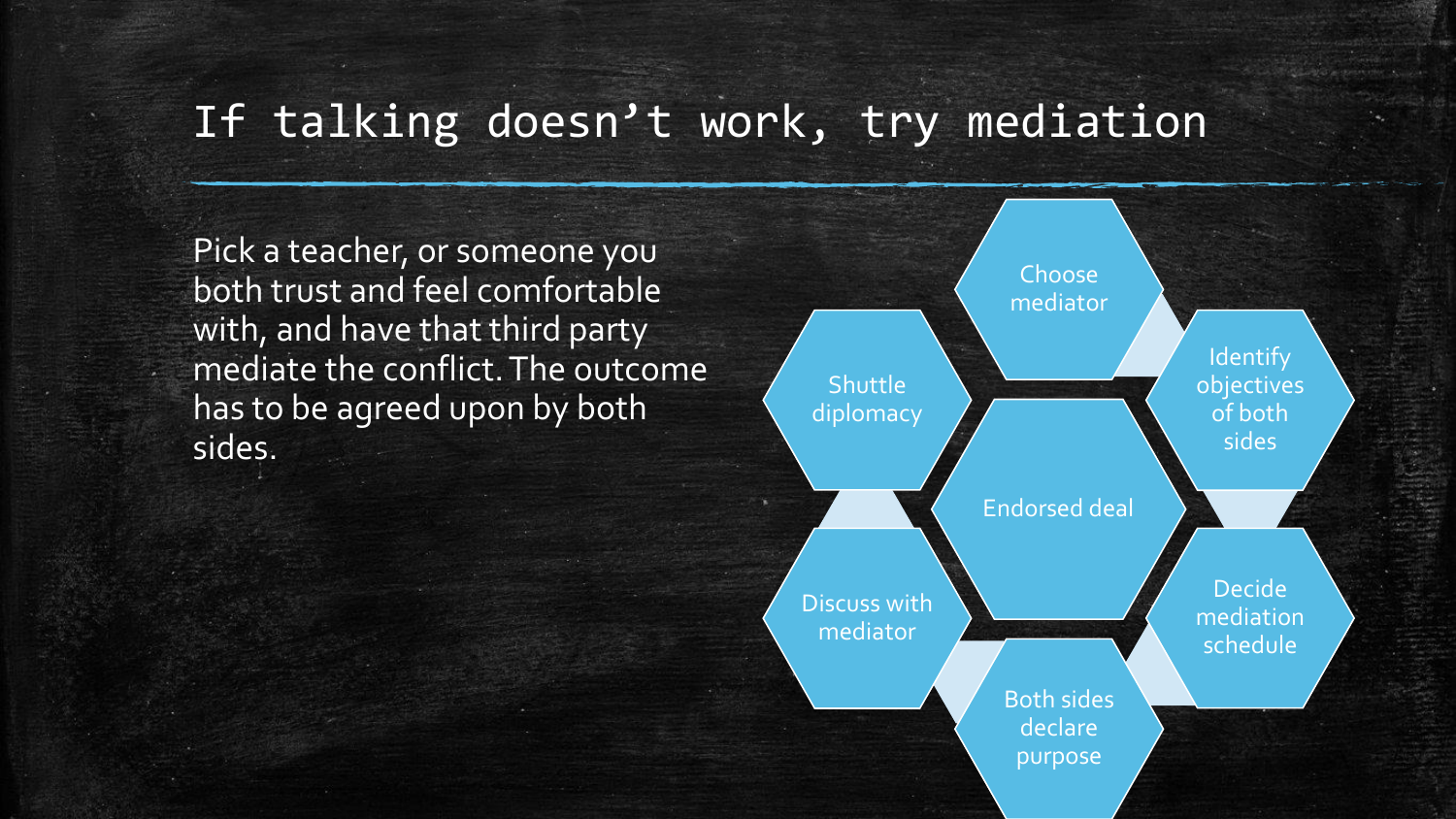#### If talking doesn't work, try mediation

Pick a teacher, or someone you both trust and feel comfortable with, and have that third party mediate the conflict. The outcome has to be agreed upon by both sides.

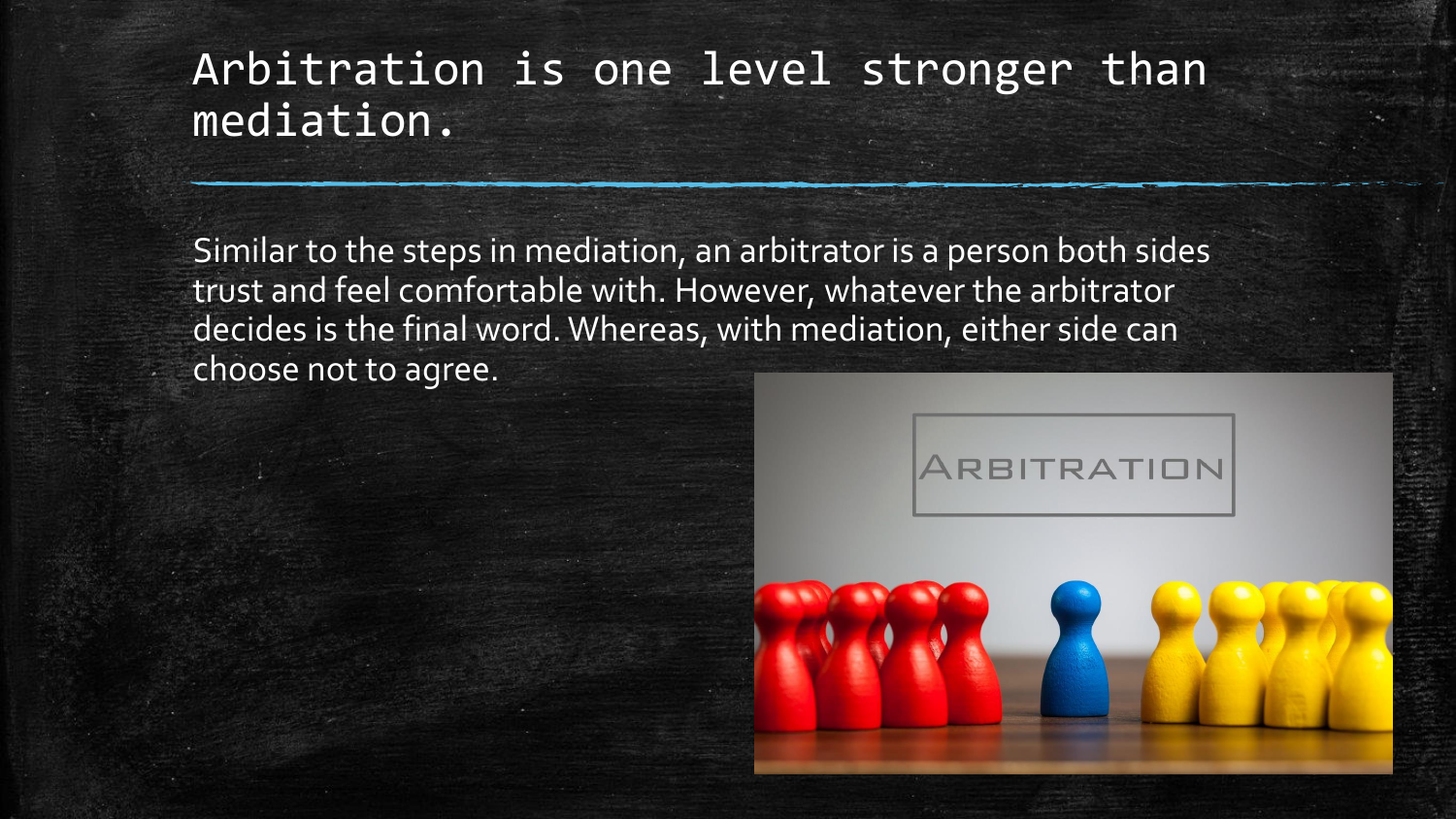#### Arbitration is one level stronger than mediation.

Similar to the steps in mediation, an arbitrator is a person both sides trust and feel comfortable with. However, whatever the arbitrator decides is the final word. Whereas, with mediation, either side can choose not to agree.



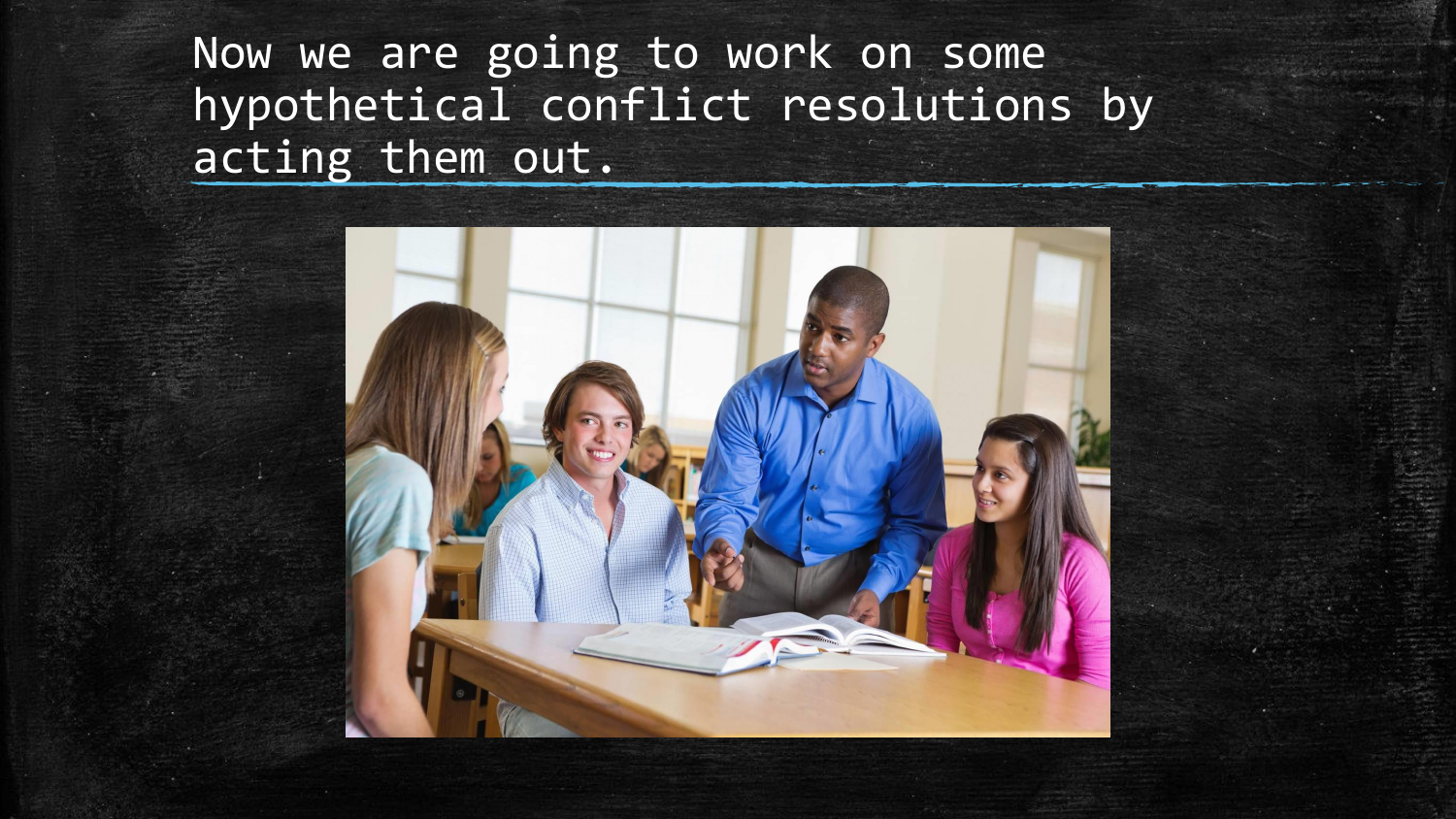Now we are going to work on some hypothetical conflict resolutions by acting them out.

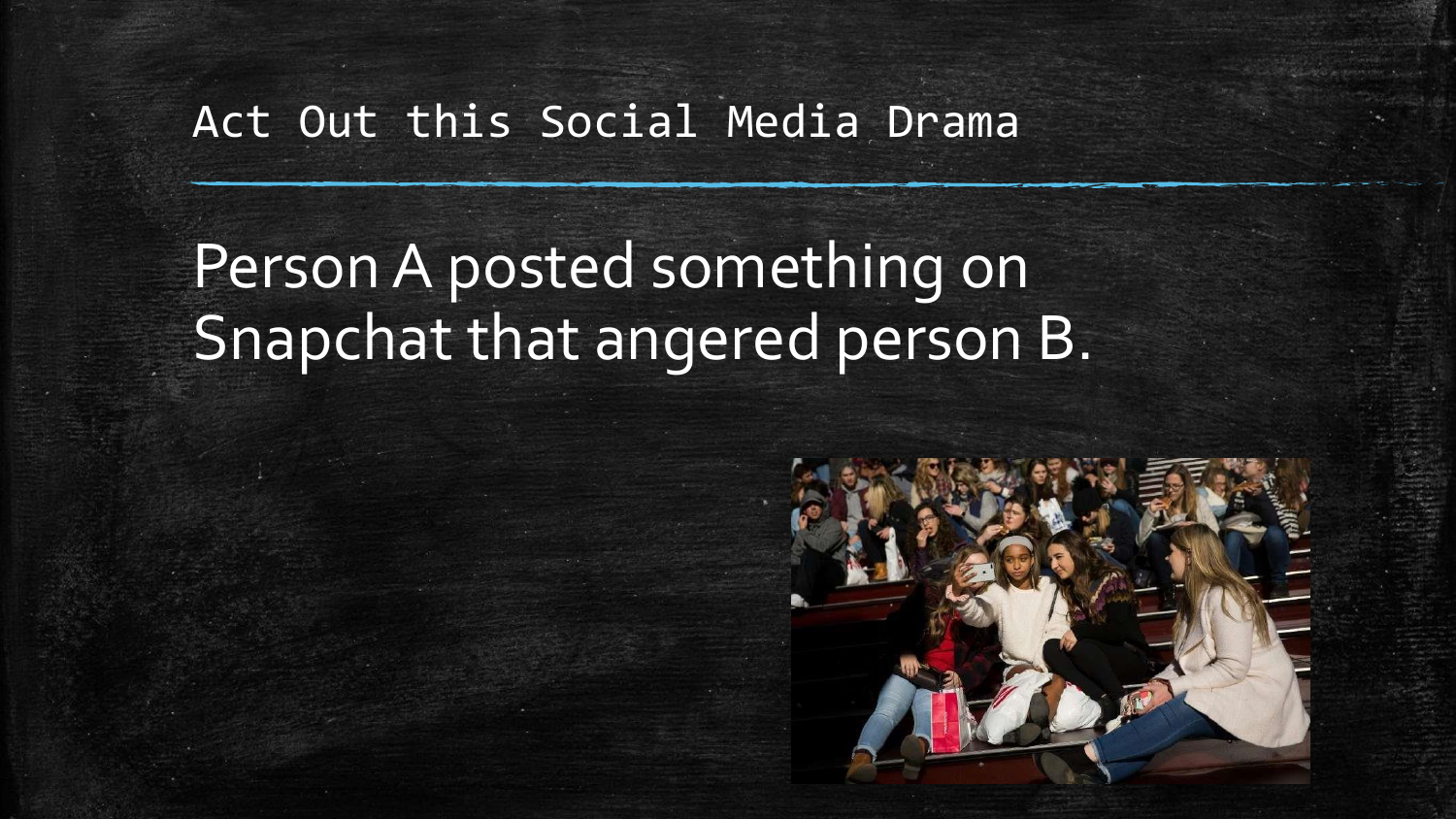#### Act Out this Social Media Drama

Person A posted something on Snapchat that angered person B.

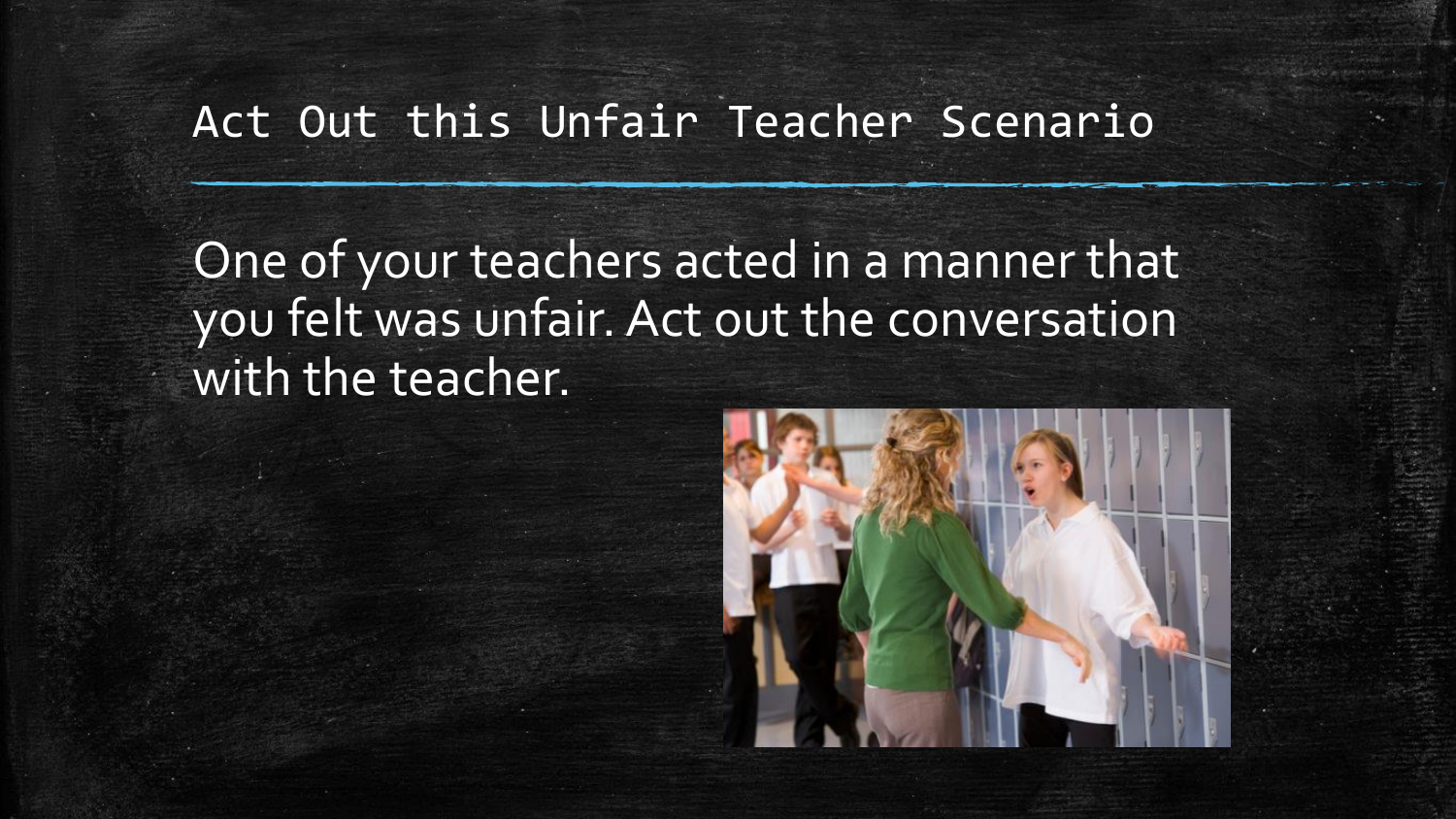#### Act Out this Unfair Teacher Scenario

One of your teachers acted in a manner that you felt was unfair. Act out the conversation with the teacher.

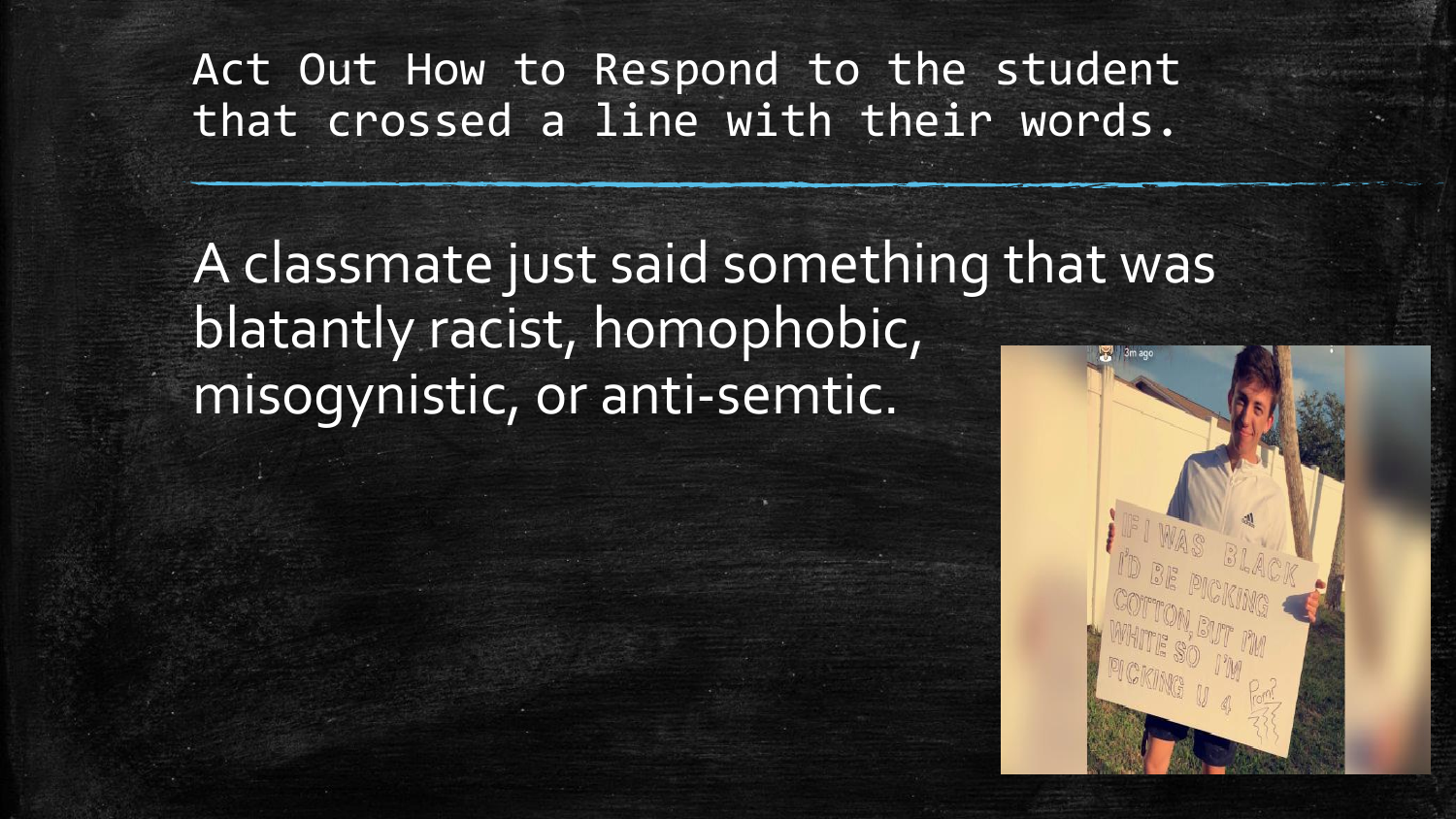Act Out How to Respond to the student that crossed a line with their words.

A classmate just said something that was blatantly racist, homophobic, misogynistic, or anti-semtic.